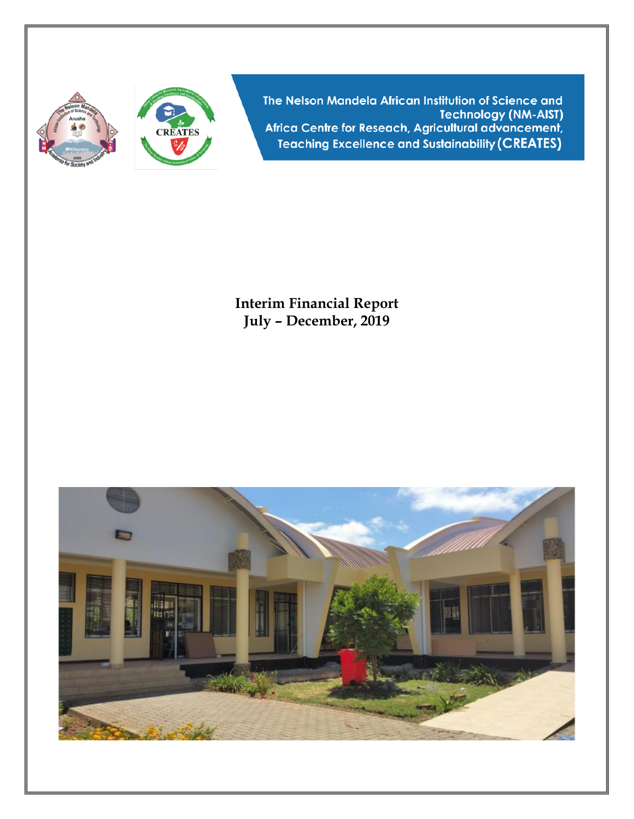



The Nelson Mandela African Institution of Science and **Technology (NM-AIST)** Africa Centre for Reseach, Agricultural advancement, **Teaching Excellence and Sustainability (CREATES)** 

**Interim Financial Report July – December, 2019**

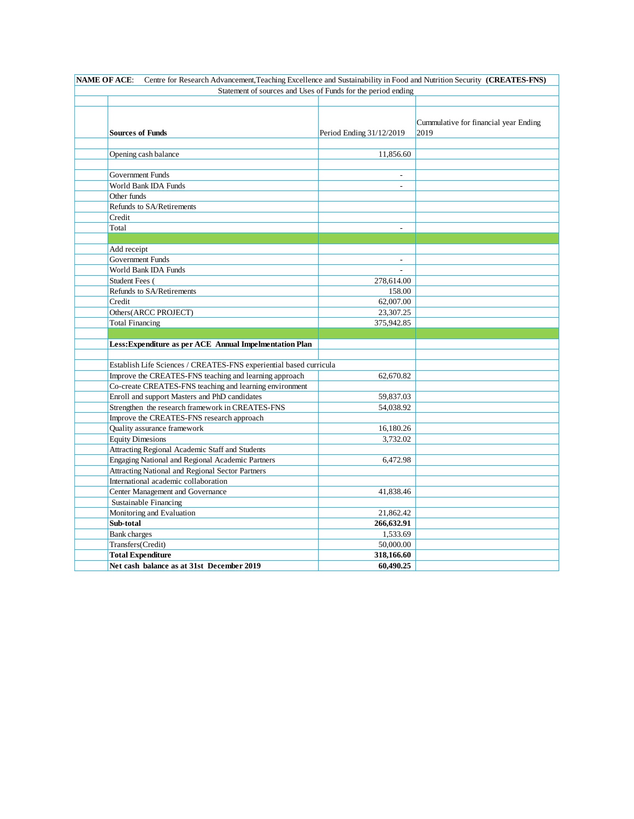| Centre for Research Advancement, Teaching Excellence and Sustainability in Food and Nutrition Security (CREATES-FNS)<br><b>NAME OF ACE:</b> |                          |                                               |  |  |  |  |  |
|---------------------------------------------------------------------------------------------------------------------------------------------|--------------------------|-----------------------------------------------|--|--|--|--|--|
| Statement of sources and Uses of Funds for the period ending                                                                                |                          |                                               |  |  |  |  |  |
|                                                                                                                                             |                          |                                               |  |  |  |  |  |
| <b>Sources of Funds</b>                                                                                                                     | Period Ending 31/12/2019 | Cummulative for financial year Ending<br>2019 |  |  |  |  |  |
|                                                                                                                                             |                          |                                               |  |  |  |  |  |
| Opening cash balance                                                                                                                        | 11,856.60                |                                               |  |  |  |  |  |
|                                                                                                                                             |                          |                                               |  |  |  |  |  |
| <b>Government Funds</b>                                                                                                                     |                          |                                               |  |  |  |  |  |
| World Bank IDA Funds                                                                                                                        |                          |                                               |  |  |  |  |  |
| Other funds                                                                                                                                 |                          |                                               |  |  |  |  |  |
| Refunds to SA/Retirements                                                                                                                   |                          |                                               |  |  |  |  |  |
| Credit                                                                                                                                      |                          |                                               |  |  |  |  |  |
| Total                                                                                                                                       |                          |                                               |  |  |  |  |  |
|                                                                                                                                             |                          |                                               |  |  |  |  |  |
| Add receipt                                                                                                                                 |                          |                                               |  |  |  |  |  |
| Government Funds                                                                                                                            |                          |                                               |  |  |  |  |  |
| World Bank IDA Funds                                                                                                                        |                          |                                               |  |  |  |  |  |
| Student Fees (                                                                                                                              | 278,614.00               |                                               |  |  |  |  |  |
| Refunds to SA/Retirements                                                                                                                   | 158.00                   |                                               |  |  |  |  |  |
| Credit                                                                                                                                      | 62,007.00                |                                               |  |  |  |  |  |
| Others(ARCC PROJECT)                                                                                                                        | 23,307.25                |                                               |  |  |  |  |  |
| <b>Total Financing</b>                                                                                                                      | 375,942.85               |                                               |  |  |  |  |  |
|                                                                                                                                             |                          |                                               |  |  |  |  |  |
| Less: Expenditure as per ACE Annual Impelmentation Plan                                                                                     |                          |                                               |  |  |  |  |  |
|                                                                                                                                             |                          |                                               |  |  |  |  |  |
| Establish Life Sciences / CREATES-FNS experiential based curricula                                                                          | 62,670.82                |                                               |  |  |  |  |  |
| Improve the CREATES-FNS teaching and learning approach<br>Co-create CREATES-FNS teaching and learning environment                           |                          |                                               |  |  |  |  |  |
| Enroll and support Masters and PhD candidates                                                                                               |                          |                                               |  |  |  |  |  |
| Strengthen the research framework in CREATES-FNS                                                                                            | 59,837.03                |                                               |  |  |  |  |  |
| Improve the CREATES-FNS research approach                                                                                                   | 54,038.92                |                                               |  |  |  |  |  |
| Quality assurance framework                                                                                                                 | 16,180.26                |                                               |  |  |  |  |  |
| <b>Equity Dimesions</b>                                                                                                                     | 3,732.02                 |                                               |  |  |  |  |  |
| Attracting Regional Academic Staff and Students                                                                                             |                          |                                               |  |  |  |  |  |
| Engaging National and Regional Academic Partners                                                                                            | 6,472.98                 |                                               |  |  |  |  |  |
| Attracting National and Regional Sector Partners                                                                                            |                          |                                               |  |  |  |  |  |
| International academic collaboration                                                                                                        |                          |                                               |  |  |  |  |  |
| Center Management and Governance                                                                                                            | 41,838.46                |                                               |  |  |  |  |  |
| Sustainable Financing                                                                                                                       |                          |                                               |  |  |  |  |  |
| Monitoring and Evaluation                                                                                                                   | 21,862.42                |                                               |  |  |  |  |  |
| Sub-total                                                                                                                                   | 266,632.91               |                                               |  |  |  |  |  |
| <b>Bank</b> charges                                                                                                                         | 1,533.69                 |                                               |  |  |  |  |  |
| Transfers(Credit)                                                                                                                           | 50,000.00                |                                               |  |  |  |  |  |
| <b>Total Expenditure</b>                                                                                                                    | 318,166.60               |                                               |  |  |  |  |  |
| Net cash balance as at 31st December 2019                                                                                                   | 60,490.25                |                                               |  |  |  |  |  |
|                                                                                                                                             |                          |                                               |  |  |  |  |  |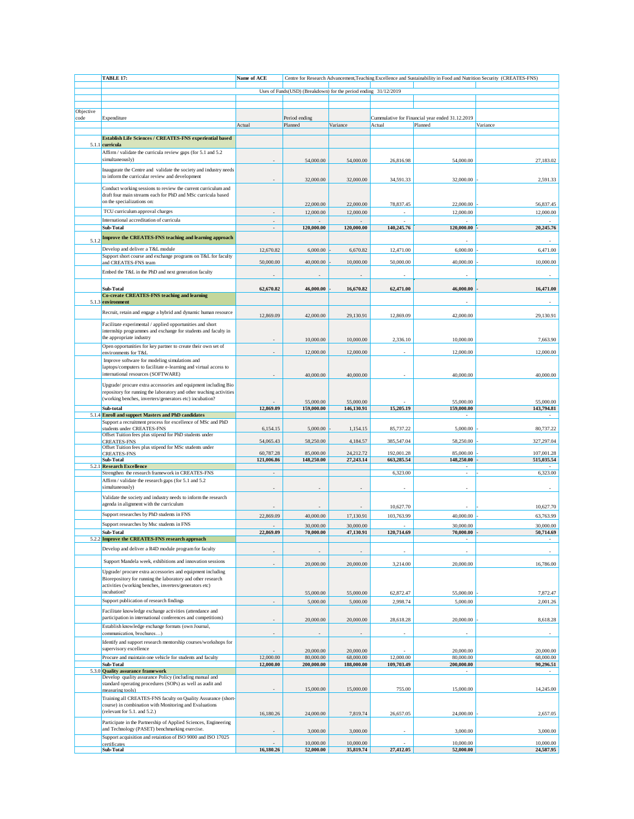|           | TABLE 17:                                                                                                                             | Name of ACE            |                                                                 |                         |                         |                                                 | Centre for Research Advancement, Teaching Excellence and Sustainability in Food and Nutrition Security (CREATES-FNS) |
|-----------|---------------------------------------------------------------------------------------------------------------------------------------|------------------------|-----------------------------------------------------------------|-------------------------|-------------------------|-------------------------------------------------|----------------------------------------------------------------------------------------------------------------------|
|           |                                                                                                                                       |                        |                                                                 |                         |                         |                                                 |                                                                                                                      |
|           |                                                                                                                                       |                        | Uses of Funds(USD) (Breakdown) for the period ending 31/12/2019 |                         |                         |                                                 |                                                                                                                      |
|           |                                                                                                                                       |                        |                                                                 |                         |                         |                                                 |                                                                                                                      |
| Objective |                                                                                                                                       |                        |                                                                 |                         |                         |                                                 |                                                                                                                      |
| code      | Expenditure                                                                                                                           |                        | Period ending                                                   |                         |                         | Cummulative for Financial year ended 31.12.2019 |                                                                                                                      |
|           |                                                                                                                                       | Actual                 | Planned                                                         | Variance                | Actual                  | Planned                                         | Variance                                                                                                             |
|           | Establish Life Sciences / CREATES-FNS experiential based                                                                              |                        |                                                                 |                         |                         |                                                 |                                                                                                                      |
|           | 5.1.1 curricula                                                                                                                       |                        |                                                                 |                         |                         |                                                 |                                                                                                                      |
|           | Affirm / validate the curricula review gaps (for 5.1 and 5.2                                                                          |                        |                                                                 |                         |                         |                                                 |                                                                                                                      |
|           | simultaneously)                                                                                                                       |                        | 54,000.00                                                       | 54,000.00               | 26,816.98               | 54,000.00                                       | 27,183.02                                                                                                            |
|           |                                                                                                                                       |                        |                                                                 |                         |                         |                                                 |                                                                                                                      |
|           | Inaugurate the Centre and validate the society and industry needs<br>to inform the curricular review and development                  |                        |                                                                 |                         |                         |                                                 |                                                                                                                      |
|           |                                                                                                                                       |                        | 32,000.00                                                       | 32,000.00               | 34,591.33               | 32,000.00                                       | 2.591.33                                                                                                             |
|           | Conduct working sessions to review the current curriculum and                                                                         |                        |                                                                 |                         |                         |                                                 |                                                                                                                      |
|           | draft four main streams each for PhD and MSc curricula based<br>on the specializations on:                                            |                        |                                                                 |                         |                         |                                                 |                                                                                                                      |
|           |                                                                                                                                       |                        | 22,000.00                                                       | 22,000.00               | 78,837.45               | 22,000.00                                       | 56,837.45                                                                                                            |
|           | TCU curriculum approval charges                                                                                                       |                        | 12,000.00                                                       | 12,000.00               |                         | 12,000.00                                       | 12,000.00                                                                                                            |
|           | International accreditation of curricula                                                                                              | ÷                      |                                                                 |                         |                         |                                                 |                                                                                                                      |
|           | Sub-Total                                                                                                                             |                        | 120,000.00                                                      | 120,000.00              | 140,245.76              | 120,000.00                                      | 20,245.76                                                                                                            |
| 5.1.2     | Improve the CREATES-FNS teaching and learning approach                                                                                |                        |                                                                 |                         |                         |                                                 |                                                                                                                      |
|           | Develop and deliver a T&L module                                                                                                      |                        |                                                                 |                         |                         |                                                 |                                                                                                                      |
|           | Support short course and exchange programs on T&L for faculty                                                                         | 12,670.82              | 6,000.00                                                        | 6,670.82                | 12,471.00               | 6,000.00                                        | 6,471.00                                                                                                             |
|           | and CREATES-FNS team                                                                                                                  | 50,000.00              | 40,000.00                                                       | 10,000.00               | 50,000.00               | 40,000.00                                       | 10,000.00                                                                                                            |
|           | Embed the T&L in the PhD and next generation faculty                                                                                  |                        |                                                                 |                         |                         |                                                 |                                                                                                                      |
|           |                                                                                                                                       |                        |                                                                 |                         |                         |                                                 |                                                                                                                      |
|           | Sub-Total                                                                                                                             | 62,670.82              | 46,000.00                                                       | 16,670.82               | 62,471.00               | 46,000.00                                       | 16.471.00                                                                                                            |
|           | Co-create CREATES-FNS teaching and learning                                                                                           |                        |                                                                 |                         |                         |                                                 |                                                                                                                      |
|           | 5.1.3 environment                                                                                                                     |                        |                                                                 |                         |                         |                                                 |                                                                                                                      |
|           | Recruit, retain and engage a hybrid and dynamic human resource                                                                        |                        |                                                                 |                         |                         |                                                 |                                                                                                                      |
|           |                                                                                                                                       | 12,869.09              | 42,000.00                                                       | 29,130.91               | 12,869.09               | 42,000.00                                       | 29.130.91                                                                                                            |
|           | Facilitate experimental / applied opportunities and short                                                                             |                        |                                                                 |                         |                         |                                                 |                                                                                                                      |
|           | internship programmes and exchange for students and faculty in                                                                        |                        |                                                                 |                         |                         |                                                 |                                                                                                                      |
|           | the appropriate industry                                                                                                              |                        | 10,000.00                                                       | 10,000.00               | 2,336.10                | 10,000.00                                       | 7,663.90                                                                                                             |
|           | Open opportunities for key partner to create their own set of<br>environments for T&L                                                 |                        | 12,000.00                                                       | 12,000.00               |                         | 12,000.00                                       | 12,000.00                                                                                                            |
|           | Improve software for modeling simulations and                                                                                         |                        |                                                                 |                         |                         |                                                 |                                                                                                                      |
|           | laptops/computers to facilitate e-learning and virtual access to                                                                      |                        |                                                                 |                         |                         |                                                 |                                                                                                                      |
|           | international resources (SOFTWARE)                                                                                                    |                        | 40,000.00                                                       | 40,000.00               |                         | 40,000.00                                       | 40,000.00                                                                                                            |
|           |                                                                                                                                       |                        |                                                                 |                         |                         |                                                 |                                                                                                                      |
|           | Upgrade/ procure extra accessories and equipment including Bio<br>repository for running the laboratory and other teaching activities |                        |                                                                 |                         |                         |                                                 |                                                                                                                      |
|           | (working benches, inverters/generators etc) incubation?                                                                               |                        |                                                                 |                         |                         |                                                 |                                                                                                                      |
|           | Sub-total                                                                                                                             | 12,869.09              | 55,000.00<br>159,000.00                                         | 55,000.00<br>146,130.91 | 15,205.19               | 55,000.00<br>159,000.00                         | 55,000.00<br>143,794.81                                                                                              |
|           | 5.1.4 Enroll and support Masters and PhD candidates                                                                                   |                        |                                                                 |                         |                         |                                                 |                                                                                                                      |
|           | Support a recruitment process for excellence of MSc and PhD                                                                           |                        |                                                                 |                         |                         |                                                 |                                                                                                                      |
|           | students under CREATES-FNS                                                                                                            | 6,154.15               | 5,000.00                                                        | 1,154.15                | 85,737.22               | 5,000.00                                        | 80,737.22                                                                                                            |
|           | Offset Tuition fees plus stipend for PhD students under                                                                               |                        |                                                                 |                         |                         |                                                 |                                                                                                                      |
|           | CREATES-FNS<br>Offset Tuition fees plus stipend for MSc students under                                                                | 54,065.43              | 58,250.00                                                       | 4,184.57                | 385,547.04              | 58,250.00                                       | 327,297.04                                                                                                           |
|           | <b>CREATES-FNS</b>                                                                                                                    | 60,787.28              | 85,000.00                                                       | 24,212.72               | 192,001.28              | 85,000.00                                       | 107,001.28                                                                                                           |
|           | Sub-Total                                                                                                                             | 121,006.86             | 148,250.00                                                      | 27,243.14               | 663,285.54              | 148,250.00                                      | 515,035.54                                                                                                           |
|           | 5.2.1 Research Excellence                                                                                                             |                        |                                                                 |                         |                         |                                                 |                                                                                                                      |
|           | Strengthen the research framework in CREATES-FNS                                                                                      |                        |                                                                 |                         | 6,323.00                | $\overline{\phantom{a}}$                        | 6,323.00                                                                                                             |
|           | Affirm / validate the research gaps (for 5.1 and 5.2<br>simultaneously)                                                               |                        |                                                                 |                         |                         |                                                 |                                                                                                                      |
|           |                                                                                                                                       |                        |                                                                 |                         |                         |                                                 |                                                                                                                      |
|           | Validate the society and industry needs to inform the research                                                                        |                        |                                                                 |                         |                         |                                                 |                                                                                                                      |
|           | agenda in alignment with the curriculum                                                                                               |                        |                                                                 |                         | 10,627.70               |                                                 | 10,627.70                                                                                                            |
|           | Support researches by PhD students in FNS                                                                                             | 22,869.09              | 40,000.00                                                       | 17,130.91               | 103,763.99              | 40,000.00                                       | 63,763.99                                                                                                            |
|           | Support researches by Msc students in FNS                                                                                             |                        | 30,000.00                                                       | 30,000.00               |                         | 30,000.00                                       | 30,000.00                                                                                                            |
|           | Sub-Total                                                                                                                             | 22,869.09              | 70,000.00                                                       | 47,130.91               | 120,714.69              | 70,000.00                                       | 50,714.69                                                                                                            |
|           | 5.2.2 Improve the CREATES-FNS research approach                                                                                       |                        |                                                                 |                         |                         |                                                 |                                                                                                                      |
|           | Develop and deliver a R4D module program for faculty                                                                                  |                        |                                                                 |                         |                         |                                                 |                                                                                                                      |
|           |                                                                                                                                       |                        |                                                                 |                         |                         |                                                 |                                                                                                                      |
|           | Support Mandela week, exhibitions and innovation sessions                                                                             |                        | 20,000.00                                                       | 20,000.00               | 3,214.00                | 20,000.00                                       | 16,786.00                                                                                                            |
|           | Upgrade/procure extra accessories and equipment including                                                                             |                        |                                                                 |                         |                         |                                                 |                                                                                                                      |
|           | Biorepository for running the laboratory and other research                                                                           |                        |                                                                 |                         |                         |                                                 |                                                                                                                      |
|           | activities (working benches, inverters/generators etc)                                                                                |                        |                                                                 |                         |                         |                                                 |                                                                                                                      |
|           | incubation?                                                                                                                           |                        | 55,000.00                                                       | 55,000.00               | 62,872.47               | 55,000.00                                       | 7,872.47                                                                                                             |
|           | Support publication of research findings                                                                                              |                        | 5,000.00                                                        | 5,000.00                | 2,998.74                | 5,000.00                                        | 2,001.26                                                                                                             |
|           | Facilitate knowledge exchange activities (attendance and                                                                              |                        |                                                                 |                         |                         |                                                 |                                                                                                                      |
|           | participation in international conferences and competitions)                                                                          |                        | 20,000.00                                                       | 20,000.00               | 28,618.28               | 20,000.00                                       | 8,618.28                                                                                                             |
|           | Establish knowledge exchange formats (own Journal,                                                                                    |                        |                                                                 |                         |                         |                                                 |                                                                                                                      |
|           | communication, brochures)                                                                                                             |                        |                                                                 |                         |                         |                                                 |                                                                                                                      |
|           | Identify and support research mentorship courses/workshops for                                                                        |                        |                                                                 |                         |                         |                                                 |                                                                                                                      |
|           | supervisory excellence                                                                                                                |                        | 20,000.00                                                       | 20,000.00               |                         | 20,000.00                                       | 20,000.00                                                                                                            |
|           | Procure and maintain one vehicle for students and faculty<br>Sub-Total                                                                | 12,000.00<br>12,000.00 | 80,000.00<br>200,000.00                                         | 68,000.00<br>188,000.00 | 12,000.00<br>109,703.49 | 80,000,00<br>200,000.00                         | 68,000.00<br>90,296.51                                                                                               |
|           | 5.3.0 Quality assurance framework                                                                                                     |                        |                                                                 |                         |                         |                                                 |                                                                                                                      |
|           | Develop quality assurance Policy (including manual and                                                                                |                        |                                                                 |                         |                         |                                                 |                                                                                                                      |
|           | standard operating procedures (SOPs) as well as audit and                                                                             |                        |                                                                 |                         |                         |                                                 |                                                                                                                      |
|           | measuring tools)                                                                                                                      |                        | 15,000.00                                                       | 15,000.00               | 755.00                  | 15,000.00                                       | 14,245.00                                                                                                            |
|           | Training all CREATES-FNS faculty on Quality Assurance (short-                                                                         |                        |                                                                 |                         |                         |                                                 |                                                                                                                      |
|           | course) in combination with Monitoring and Evaluations<br>(relevant for 5.1. and 5.2.)                                                |                        |                                                                 |                         |                         |                                                 |                                                                                                                      |
|           |                                                                                                                                       | 16,180.26              | 24,000.00                                                       | 7,819.74                | 26,657.05               | 24,000.00                                       | 2,657.05                                                                                                             |
|           | Participate in the Partnership of Applied Sciences, Engineering                                                                       |                        |                                                                 |                         |                         |                                                 |                                                                                                                      |
|           | and Technology (PASET) benchmarking exercise.                                                                                         |                        | 3,000.00                                                        | 3,000.00                |                         | 3,000.00                                        | 3,000,00                                                                                                             |
|           | Support acquisition and retaintion of ISO 9000 and ISO 17025<br>certificates                                                          |                        | 10,000.00                                                       | 10,000.00               |                         | 10,000.00                                       | 10,000.00                                                                                                            |
|           | Sub-Total                                                                                                                             | 16,180.26              | 52,000.00                                                       | 35,819.74               | 27,412.05               | 52,000.00                                       | 24,587.95                                                                                                            |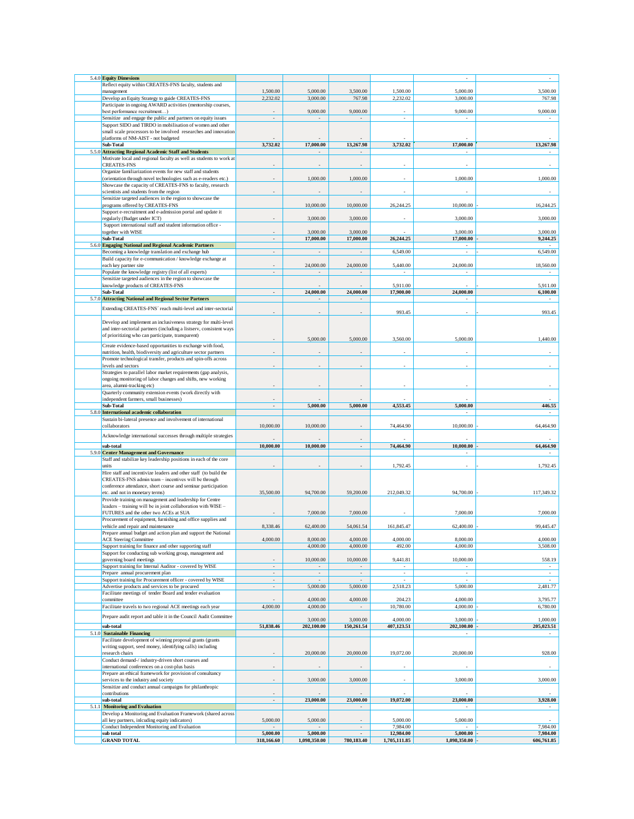| 5.4.0 Equity Dimesions                                                                                                                 |                |                     |                          |                          |                                       |                  |
|----------------------------------------------------------------------------------------------------------------------------------------|----------------|---------------------|--------------------------|--------------------------|---------------------------------------|------------------|
| Reflect equity within CREATES-FNS faculty, students and                                                                                |                |                     |                          |                          |                                       |                  |
| management                                                                                                                             | 1,500.00       | 5,000.00            | 3,500.00                 | 1,500.00                 | 5,000.00                              | 3,500.00         |
| Develop an Equity Strategy to guide CREATES-FNS                                                                                        | 2,232.02       | 3,000.00            | 767.98                   | 2,232.02                 | 3,000.00                              | 767.98           |
| Participate in ongoing AWARD activities (mentorship courses,                                                                           |                |                     |                          |                          |                                       |                  |
| best performance recruitment)                                                                                                          |                | 9,000.00            | 9,000.00                 |                          | 9,000.00                              | 9,000.00         |
| Sensitize and engage the public and partners on equity issues                                                                          |                | ÷.                  | $\overline{\phantom{a}}$ | $\overline{\phantom{a}}$ |                                       |                  |
| Support SIDO and TIRDO in mobilisation of women and other                                                                              |                |                     |                          |                          |                                       |                  |
| small scale processors to be involved researches and innovation                                                                        |                |                     |                          |                          |                                       |                  |
| platforms of NM-AIST - not budgeted                                                                                                    |                |                     |                          |                          | 17,000.00                             |                  |
| Sub-Total                                                                                                                              | 3,732.02       | 17,000.00           | 13,267.98                | 3,732.02                 |                                       | 13,267.98        |
| 5.5.0 Attracting Regional Academic Staff and Students                                                                                  |                |                     |                          |                          |                                       |                  |
| Motivate local and regional faculty as well as students to work at<br><b>CREATES-FNS</b>                                               |                |                     |                          |                          |                                       |                  |
| Organize familiarization events for new staff and students                                                                             |                |                     |                          |                          |                                       |                  |
| (orientation through novel technologies such as e-readers etc.)                                                                        |                | 1,000.00            | 1,000.00                 |                          | 1,000.00                              | 1,000.00         |
| Showcase the capacity of CREATES-FNS to faculty, research                                                                              |                |                     |                          |                          |                                       |                  |
| scientists and students from the region                                                                                                |                |                     |                          |                          |                                       |                  |
| Sensitize targeted audiences in the region to showcase the                                                                             |                |                     |                          |                          |                                       |                  |
| programs offered by CREATES-FNS                                                                                                        |                | 10,000.00           | 10,000.00                | 26.244.25                | 10,000,00                             | 16.244.25        |
| Support e-recruitment and e-admission portal and update it                                                                             |                |                     |                          |                          |                                       |                  |
| regularly (Budget under ICT)                                                                                                           |                | 3,000.00            | 3,000.00                 |                          | 3,000.00                              | 3,000.00         |
| Support international staff and student information office -                                                                           |                |                     |                          |                          |                                       |                  |
| together with WISE                                                                                                                     |                | 3,000.00            | 3,000.00                 |                          | 3,000.00                              | 3,000.00         |
| Sub-Total                                                                                                                              | ä,             | 17,000.00           | 17,000.00                | 26,244.25                | 17,000.00                             | 9,244.25         |
| 5.6.0 Engaging National and Regional Academic Partners                                                                                 |                |                     |                          |                          |                                       |                  |
| Becoming a knowledge translation and exchange hub                                                                                      |                |                     |                          | 6,549.00                 |                                       | 6,549.00         |
| Build capacity for e-communication / knowledge exchange at                                                                             |                |                     |                          |                          |                                       |                  |
| each key partner site                                                                                                                  |                | 24,000.00           | 24,000.00                | 5,440.00                 | 24,000.00                             | 18,560.00        |
| Populate the knowledge registry (list of all experts)<br>Sensitize targeted audiences in the region to showcase the                    |                |                     |                          |                          |                                       |                  |
| knowledge products of CREATES-FNS                                                                                                      |                |                     |                          | 5,911.00                 |                                       | 5.911.00         |
| Sub-Total                                                                                                                              | $\overline{a}$ | 24,000.00           | 24,000.00                | 17,900.00                | 24,000.00                             | 6,100.00         |
| 5.7.0 Attracting National and Regional Sector Partners                                                                                 |                | $\sim$              | $\overline{\phantom{a}}$ |                          |                                       |                  |
|                                                                                                                                        |                |                     |                          |                          |                                       |                  |
| Extending CREATES-FNS' reach multi-level and inter-sectorial                                                                           |                |                     |                          | 993.45                   |                                       | 993.45           |
|                                                                                                                                        |                |                     |                          |                          |                                       |                  |
| Develop and implement an inclusiveness strategy for multi-level<br>and inter-sectorial partners (including a listserv, consistent ways |                |                     |                          |                          |                                       |                  |
| of prioritizing who can participate, transparent)                                                                                      |                |                     |                          |                          |                                       |                  |
|                                                                                                                                        |                | 5,000.00            | 5,000.00                 | 3,560.00                 | 5,000.00                              | 1,440.00         |
| Create evidence-based opportunities to exchange with food,                                                                             |                |                     |                          |                          |                                       |                  |
| nutrition, health, biodiversity and agriculture sector partners                                                                        |                |                     |                          |                          |                                       |                  |
| Promote technological transfer, products and spin-offs across                                                                          |                |                     |                          |                          |                                       |                  |
| levels and sectors                                                                                                                     |                |                     |                          |                          |                                       |                  |
| Strategies to parallel labor market requirements (gap analysis,                                                                        |                |                     |                          |                          |                                       |                  |
| ongoing monitoring of labor changes and shifts, new working                                                                            |                |                     |                          |                          |                                       |                  |
| area, alumni-tracking etc)<br>Quarterly community extension events (work directly with                                                 |                |                     |                          |                          |                                       |                  |
| independent farmers, small businesses)                                                                                                 |                |                     |                          |                          |                                       |                  |
| Sub-Total                                                                                                                              |                | 5,000.00            | 5,000.00                 | 4,553.45                 | 5,000.00                              | 446.55           |
| 5.8.0 International academic collaboration                                                                                             |                |                     |                          |                          |                                       |                  |
|                                                                                                                                        |                |                     |                          |                          |                                       |                  |
| Sustain bi-lateral presence and involvement of international                                                                           |                |                     |                          |                          |                                       |                  |
| collaborators                                                                                                                          | 10,000.00      | 10,000.00           |                          | 74,464.90                | 10,000.00                             | 64,464.90        |
|                                                                                                                                        |                |                     |                          |                          |                                       |                  |
| Acknowledge international successes through multiple strategies                                                                        |                |                     |                          |                          |                                       |                  |
| sub-total                                                                                                                              | 10,000.00      | 10,000.00           | ÷,                       | 74,464.90                | 10,000.00                             | 64,464.90        |
| 5.9.0 Center Management and Governance                                                                                                 |                |                     |                          |                          |                                       |                  |
| Staff and stabilize key leadership positions in each of the core                                                                       |                |                     |                          |                          |                                       |                  |
| units                                                                                                                                  |                |                     |                          | 1,792.45                 |                                       | 1,792.45         |
| Hire staff and incentivize leaders and other staff (to build the<br>CREATES-FNS admin team - incentives will be through                |                |                     |                          |                          |                                       |                  |
| conference attendance, short course and seminar participation                                                                          |                |                     |                          |                          |                                       |                  |
| etc. and not in monetary terms)                                                                                                        | 35,500.00      | 94,700.00           | 59,200.00                | 212,049.32               | 94,700.00                             | 117,349.32       |
| Provide training on management and leadership for Centre                                                                               |                |                     |                          |                          |                                       |                  |
| leaders - training will be in joint collaboration with WISE -                                                                          |                |                     |                          |                          |                                       |                  |
| FUTURES and the other two ACEs at SUA                                                                                                  |                | 7,000.00            | 7,000.00                 |                          | 7,000.00                              | 7,000.00         |
| Procurement of equipment, furnishing and office supplies and                                                                           |                |                     |                          |                          |                                       |                  |
| vehicle and repair and maintenance                                                                                                     | 8,338.46       | 62,400.00           | 54,061.54                | 161,845.47               | 62,400.00                             | 99,445.47        |
| Prepare annual budget and action plan and support the National                                                                         |                |                     |                          |                          |                                       |                  |
| <b>ACE Steering Committee</b>                                                                                                          | 4,000.00       | 8,000.00            | 4,000.00                 | 4,000.00                 | 8,000.00                              | 4,000.00         |
| Support training for finance and other supporting staff                                                                                |                | 4,000.00            | 4,000.00                 | 492.00                   | 4,000.00                              | 3,508.00         |
| Support for conducting sub working group, management and<br>governing board meetings                                                   |                |                     |                          |                          |                                       |                  |
| Support training for Internal Auditor - covered by WISE                                                                                | í.             | 10,000.00<br>$\sim$ | 10,000.00<br>$\sim$      | 9,441.81<br>$\sim$       | 10,000.00<br>$\overline{\phantom{a}}$ | 558.19<br>$\sim$ |
| Prepare annual procurement plan                                                                                                        | L.             | ÷                   | ÷                        | ÷                        | ÷                                     | ÷                |
| Support training for Procurement officer - covered by WISE                                                                             | ä,             | ÷,                  |                          | $\overline{\phantom{a}}$ | ×,                                    | ÷                |
| Advertise products and services to be procured                                                                                         |                | 5,000.00            | 5,000.00                 | 2,518.23                 | 5,000.00                              | 2,481.77         |
| Facilitate meetings of tender Board and tender evaluation                                                                              |                |                     |                          |                          |                                       |                  |
| committee                                                                                                                              |                | 4,000.00            | 4,000.00                 | 204.23                   | 4,000.00                              | 3,795.77         |
| Facilitate travels to two regional ACE meetings each year                                                                              | 4,000.00       | 4,000.00            |                          | 10,780.00                | 4,000.00                              | 6,780.00         |
| Prepare audit report and table it in the Council Audit Committee                                                                       |                |                     |                          |                          |                                       |                  |
|                                                                                                                                        |                | 3,000.00            | 3,000.00                 | 4,000.00                 | 3,000.00                              | 1,000.00         |
| sub-total                                                                                                                              | 51,838.46      | 202,100.00          | 150,261.54               | 407,123.51               | 202,100.00                            | 205,023.51       |
| 5.1.0 Sustainable Financing                                                                                                            |                |                     |                          |                          | $\overline{\phantom{a}}$              |                  |
| Facilitate development of winning proposal grants (grants<br>writing support, seed money, identifying calls) including                 |                |                     |                          |                          |                                       |                  |
| research chairs                                                                                                                        |                | 20,000.00           | 20,000.00                | 19,072.00                | 20,000.00                             | 928.00           |
| Conduct demand-/ industry-driven short courses and                                                                                     |                |                     |                          |                          |                                       |                  |
| international conferences on a cost-plus basis                                                                                         |                |                     |                          |                          |                                       |                  |
| Prepare an ethical framework for provision of consultancy                                                                              |                |                     |                          |                          |                                       |                  |
| services to the industry and society                                                                                                   |                | 3,000.00            | 3,000.00                 |                          | 3,000.00                              | 3,000.00         |
| Sensitize and conduct annual campaigns for philanthropic                                                                               |                |                     |                          |                          |                                       |                  |
| contributions                                                                                                                          |                |                     |                          |                          |                                       |                  |
| sub-total                                                                                                                              | L,             | 23,000.00           | 23,000.00                | 19,072.00                | 23,000.00                             | 3,928.00         |
| 5.1.1 Monitoring and Evaluation                                                                                                        |                |                     |                          |                          |                                       |                  |
| Develop a Monitoring and Evaluation Framework (shared across                                                                           |                |                     |                          |                          |                                       |                  |
| all key partners, inlcuding equity indicators)                                                                                         | 5,000.00       | 5,000.00            |                          | 5,000.00<br>7,984.00     | 5,000.00                              | 7,984.00         |
| Conduct Independent Monitoring and Evaluation<br>sub total                                                                             | 5,000.00       | 5,000.00            |                          | 12,984.00                | 5,000.00                              | 7,984.00         |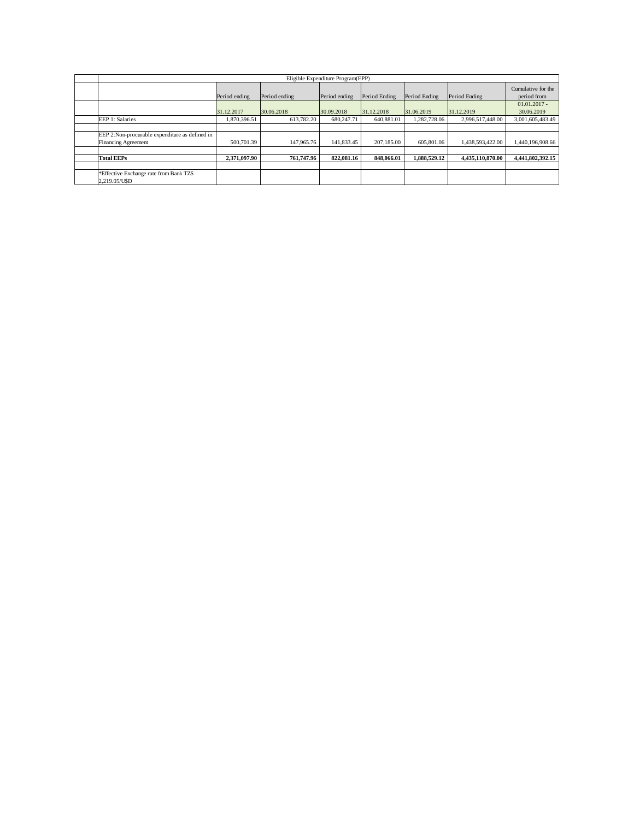| Eligible Expenditure Program(EPP)                      |               |               |               |               |               |                  |                                   |  |  |
|--------------------------------------------------------|---------------|---------------|---------------|---------------|---------------|------------------|-----------------------------------|--|--|
|                                                        | Period ending | Period ending | Period ending | Period Ending | Period Ending | Period Ending    | Cumulative for the<br>period from |  |  |
|                                                        | 31.12.2017    | 30.06.2018    | 30.09.2018    | 31.12.2018    | 31.06.2019    | 31.12.2019       | $01.01.2017 -$<br>30.06.2019      |  |  |
| EEP 1: Salaries                                        | 1.870.396.51  | 613.782.20    | 680,247.71    | 640,881.01    | 1.282.728.06  | 2.996.517.448.00 | 3,001,605,483.49                  |  |  |
|                                                        |               |               |               |               |               |                  |                                   |  |  |
| EEP 2:Non-procurable expenditure as defined in         |               |               |               |               |               |                  |                                   |  |  |
| <b>Financing Agreement</b>                             | 500,701.39    | 147,965.76    | 141,833.45    | 207,185,00    | 605,801.06    | 1.438.593.422.00 | 1.440.196.908.66                  |  |  |
|                                                        |               |               |               |               |               |                  |                                   |  |  |
| <b>Total EEPs</b>                                      | 2,371,097.90  | 761,747.96    | 822,081.16    | 848,066.01    | 1.888.529.12  | 4.435.110.870.00 | 4.441.802.392.15                  |  |  |
|                                                        |               |               |               |               |               |                  |                                   |  |  |
| *Effective Exchange rate from Bank TZS<br>2.219.05/USD |               |               |               |               |               |                  |                                   |  |  |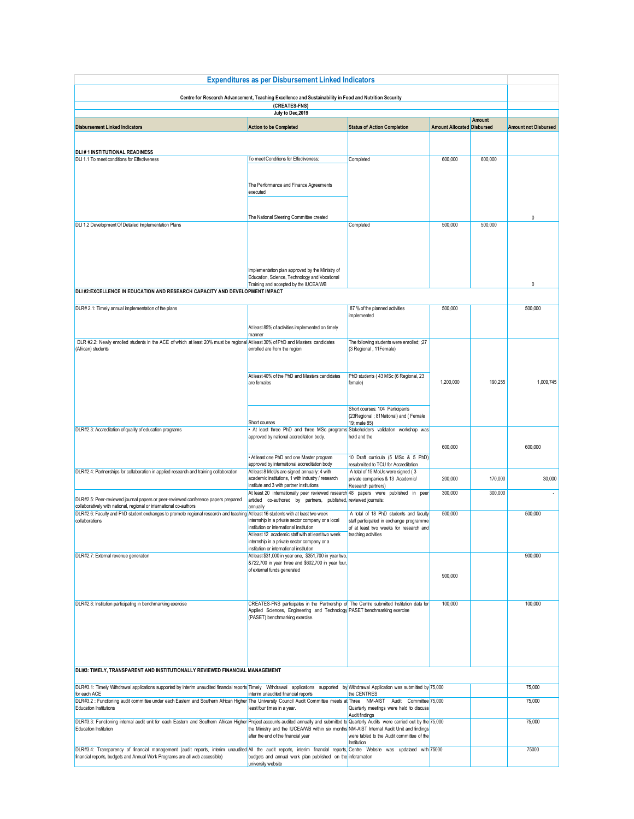| <b>Expenditures as per Disbursement Linked Indicators</b>                                                                                                                                                                                               |                                                                                                                                                                                                        |                                                                                                                              |                                   |                    |                             |  |  |
|---------------------------------------------------------------------------------------------------------------------------------------------------------------------------------------------------------------------------------------------------------|--------------------------------------------------------------------------------------------------------------------------------------------------------------------------------------------------------|------------------------------------------------------------------------------------------------------------------------------|-----------------------------------|--------------------|-----------------------------|--|--|
| Centre for Research Advancement, Teaching Excellence and Sustainability in Food and Nutrition Security<br>(CREATES-FNS)                                                                                                                                 |                                                                                                                                                                                                        |                                                                                                                              |                                   |                    |                             |  |  |
|                                                                                                                                                                                                                                                         | July to Dec, 2019                                                                                                                                                                                      |                                                                                                                              |                                   |                    |                             |  |  |
| <b>Disbursement Linked Indicators</b>                                                                                                                                                                                                                   | <b>Action to be Completed</b>                                                                                                                                                                          | <b>Status of Action Completion</b>                                                                                           | <b>Amount Allocated Disbursed</b> | Amount             | <b>Amount not Disbursed</b> |  |  |
|                                                                                                                                                                                                                                                         |                                                                                                                                                                                                        |                                                                                                                              |                                   |                    |                             |  |  |
| <b>DLI#1 INSTITUTIONAL READINESS</b><br>DLI 1.1 To meet conditions for Effectiveness                                                                                                                                                                    | To meet Conditions for Effectiveness:                                                                                                                                                                  | Completed                                                                                                                    | 600,000                           | 600,000            |                             |  |  |
|                                                                                                                                                                                                                                                         |                                                                                                                                                                                                        |                                                                                                                              |                                   |                    |                             |  |  |
|                                                                                                                                                                                                                                                         | The Performance and Finance Agreements<br>executed                                                                                                                                                     |                                                                                                                              |                                   |                    |                             |  |  |
|                                                                                                                                                                                                                                                         | The National Steering Committee created                                                                                                                                                                |                                                                                                                              |                                   |                    | 0                           |  |  |
| DLI 1.2 Development Of Detailed Implementation Plans                                                                                                                                                                                                    | Implementation plan approved by the Ministry of                                                                                                                                                        | Completed                                                                                                                    | 500,000                           | 500,000            |                             |  |  |
|                                                                                                                                                                                                                                                         | Education, Science, Technology and Vocational<br>Training and accepted by the IUCEA/WB                                                                                                                 |                                                                                                                              |                                   |                    | $\mathbf{0}$                |  |  |
| DLI #2:EXCELLENCE IN EDUCATION AND RESEARCH CAPACITY AND DEVELOPMENT IMPACT                                                                                                                                                                             |                                                                                                                                                                                                        |                                                                                                                              |                                   |                    |                             |  |  |
| DLR# 2.1: Timely annual implementation of the plans                                                                                                                                                                                                     |                                                                                                                                                                                                        | 87 % of the planned activities                                                                                               | 500,000                           |                    | 500,000                     |  |  |
|                                                                                                                                                                                                                                                         |                                                                                                                                                                                                        | implemented                                                                                                                  |                                   |                    |                             |  |  |
|                                                                                                                                                                                                                                                         | At least 85% of activities implemented on timely<br>manner                                                                                                                                             |                                                                                                                              |                                   |                    |                             |  |  |
| DLR #2.2: Newly enrolled students in the ACE of which at least 20% must be regional At least 30% of PhD and Masters candidates                                                                                                                          |                                                                                                                                                                                                        | The following students were enrolled; ;27                                                                                    |                                   |                    |                             |  |  |
| (African) students                                                                                                                                                                                                                                      | enrolled are from the region                                                                                                                                                                           | (3 Regional, 11 Female)                                                                                                      |                                   |                    |                             |  |  |
|                                                                                                                                                                                                                                                         | At least 40% of the PhD and Masters candidates<br>are females                                                                                                                                          | PhD students (43 MSc (6 Regional, 23<br>female)                                                                              | 1,200,000                         | 190,255            | 1,009,745                   |  |  |
|                                                                                                                                                                                                                                                         | Short courses                                                                                                                                                                                          | Short courses: 104 Participants<br>(23Regional; 81National) and (Female<br>19; male 85)                                      |                                   |                    |                             |  |  |
| DLR#2.3: Accreditation of quality of education programs                                                                                                                                                                                                 | At least three PhD and three MSc programs Stakeholders validation workshop was<br>approved by national accreditation body.                                                                             | held and the                                                                                                                 | 600,000                           |                    | 600,000                     |  |  |
|                                                                                                                                                                                                                                                         | . At least one PhD and one Master program                                                                                                                                                              | 10 Draft curricula (5 MSc & 5 PhD)                                                                                           |                                   |                    |                             |  |  |
| DLR#2.4: Partnerships for collaboration in applied research and training collaboration                                                                                                                                                                  | approved by international accreditation body<br>At least 8 MoUs are signed annually: 4 with                                                                                                            | resubmitted to TCU for Accreditation<br>A total of 15 MoUs were signed (3                                                    |                                   |                    |                             |  |  |
|                                                                                                                                                                                                                                                         | academic institutions, 1 with industry / research<br>institute and 3 with partner institutions<br>At least 20 internationally peer reviewed research 48 papers were published in peer                  | private companies & 13 Academic/<br>Research partners)                                                                       | 200,000<br>300,000                | 170,000<br>300,000 | 30,000                      |  |  |
| DLR#2.5: Peer-reviewed journal papers or peer-reviewed conference papers prepared<br>collaboratively with national, regional or international co-authors                                                                                                | articled co-authored by partners, published, reviewed journals:<br>annually                                                                                                                            |                                                                                                                              |                                   |                    |                             |  |  |
| DLR#2.6: Faculty and PhD student exchanges to promote regional research and teaching At least 16 students with at least two week<br>collaborations                                                                                                      | internship in a private sector company or a local<br>institution or international institution                                                                                                          | A total of 18 PhD students and faculty<br>staff participated in exchange programme<br>of at least two weeks for research and | 500,000                           |                    | 500,000                     |  |  |
|                                                                                                                                                                                                                                                         | At least 12 academic staff with at least two week<br>internship in a private sector company or a                                                                                                       | teaching activities                                                                                                          |                                   |                    |                             |  |  |
| DLR#2.7: External revenue generation                                                                                                                                                                                                                    | institution or international institution<br>At least \$31,000 in year one, \$351,700 in year two,                                                                                                      |                                                                                                                              |                                   |                    | 900.000                     |  |  |
|                                                                                                                                                                                                                                                         | 8722,700 in year three and \$602,700 in year four,<br>of external funds generated                                                                                                                      |                                                                                                                              | 900,000                           |                    |                             |  |  |
| DLR#2.8: Institution participating in benchmarking exercise                                                                                                                                                                                             | CREATES-FNS participates in the Partnership of The Centre submitted Institution data for<br>Applied Sciences, Engineering and Technology PASET benchmarking exercise<br>(PASET) benchmarking exercise. |                                                                                                                              | 100,000                           |                    | 100,000                     |  |  |
|                                                                                                                                                                                                                                                         |                                                                                                                                                                                                        |                                                                                                                              |                                   |                    |                             |  |  |
| DLI#3: TIMELY, TRANSPARENT AND INSTITUTIONALLY REVIEWED FINANCIAL MANAGEMENT                                                                                                                                                                            |                                                                                                                                                                                                        |                                                                                                                              |                                   |                    |                             |  |  |
| DLR#3.1: Timely Withdrawal applications supported by interim unaudited financial reports Timely Withdrawal applications supported by Withdrawal Application was submitted by 75,000<br>for each ACE                                                     | interim unaudited financial reports                                                                                                                                                                    | the CENTRES                                                                                                                  |                                   |                    | 75,000                      |  |  |
| DLR#3.2 : Functioning audit committee under each Eastern and Southern African Higher The University Council Audit Committee meets at Three NM-AIST Audit Committee   75,000<br><b>Education Institutions</b>                                            | least four times in a year.                                                                                                                                                                            | Quarterly meetings were held to discuss                                                                                      |                                   |                    | 75,000                      |  |  |
| DLR#3.3: Functioning internal audit unit for each Eastern and Southern African Higher Project accounts audited annually and submitted to Quarterly Audits were carried out by the 75,000<br>Education Institution                                       | the Ministry and the IUCEA/WB within six months NM-AIST Internal Audit Unit and findings<br>after the end of the financial year                                                                        | Audit findings<br>were tabled to the Audit committee of the<br>Institution                                                   |                                   |                    | 75,000                      |  |  |
| DLR#3.4: Transparency of financial management (audit reports, interim unaudited All the audit reports, interim financial reports, Centre Website was updataed with 75000<br>financial reports, budgets and Annual Work Programs are all web accessible) | budgets and annual work plan published on the inforamation<br>university website                                                                                                                       |                                                                                                                              |                                   |                    | 75000                       |  |  |